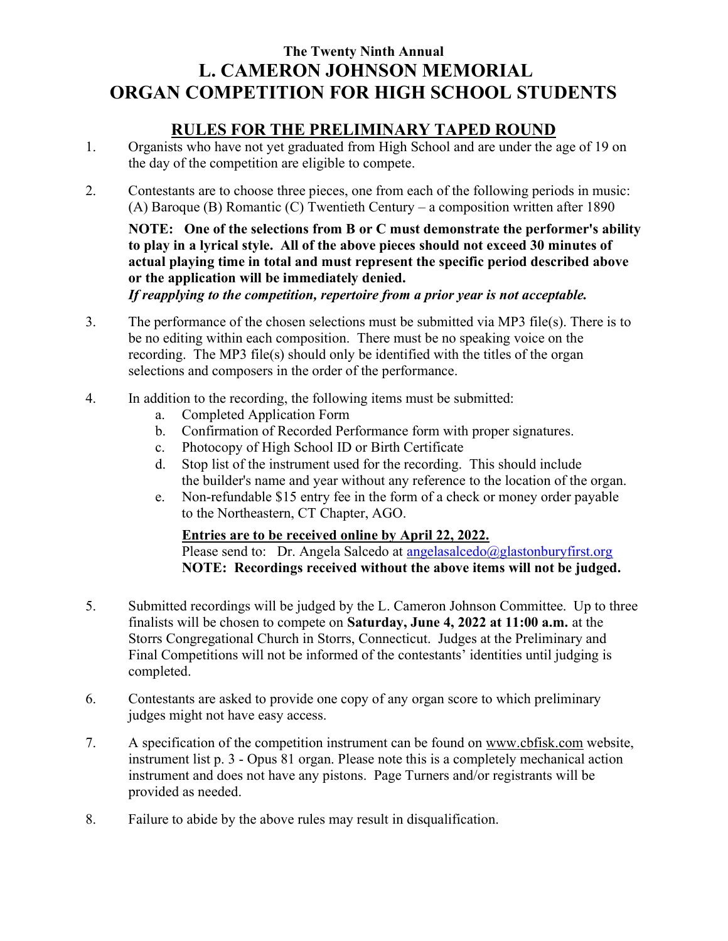# The Twenty Ninth Annual L. CAMERON JOHNSON MEMORIAL ORGAN COMPETITION FOR HIGH SCHOOL STUDENTS

## RULES FOR THE PRELIMINARY TAPED ROUND

- 1. Organists who have not yet graduated from High School and are under the age of 19 on the day of the competition are eligible to compete.
- 2. Contestants are to choose three pieces, one from each of the following periods in music: (A) Baroque (B) Romantic (C) Twentieth Century – a composition written after 1890

NOTE: One of the selections from B or C must demonstrate the performer's ability to play in a lyrical style. All of the above pieces should not exceed 30 minutes of actual playing time in total and must represent the specific period described above or the application will be immediately denied.

If reapplying to the competition, repertoire from a prior year is not acceptable.

- 3. The performance of the chosen selections must be submitted via MP3 file(s). There is to be no editing within each composition. There must be no speaking voice on the recording. The MP3 file(s) should only be identified with the titles of the organ selections and composers in the order of the performance.
- 4. In addition to the recording, the following items must be submitted:
	- a. Completed Application Form
	- b. Confirmation of Recorded Performance form with proper signatures.
	- c. Photocopy of High School ID or Birth Certificate
	- d. Stop list of the instrument used for the recording. This should include the builder's name and year without any reference to the location of the organ.
	- e. Non-refundable \$15 entry fee in the form of a check or money order payable to the Northeastern, CT Chapter, AGO.

### Entries are to be received online by April 22, 2022.

Please send to: Dr. Angela Salcedo at angelasalcedo $@g$ lastonburyfirst.org NOTE: Recordings received without the above items will not be judged.

- 5. Submitted recordings will be judged by the L. Cameron Johnson Committee. Up to three finalists will be chosen to compete on Saturday, June 4, 2022 at 11:00 a.m. at the Storrs Congregational Church in Storrs, Connecticut. Judges at the Preliminary and Final Competitions will not be informed of the contestants' identities until judging is completed.
- 6. Contestants are asked to provide one copy of any organ score to which preliminary judges might not have easy access.
- 7. A specification of the competition instrument can be found on www.cbfisk.com website, instrument list p. 3 - Opus 81 organ. Please note this is a completely mechanical action instrument and does not have any pistons. Page Turners and/or registrants will be provided as needed.
- 8. Failure to abide by the above rules may result in disqualification.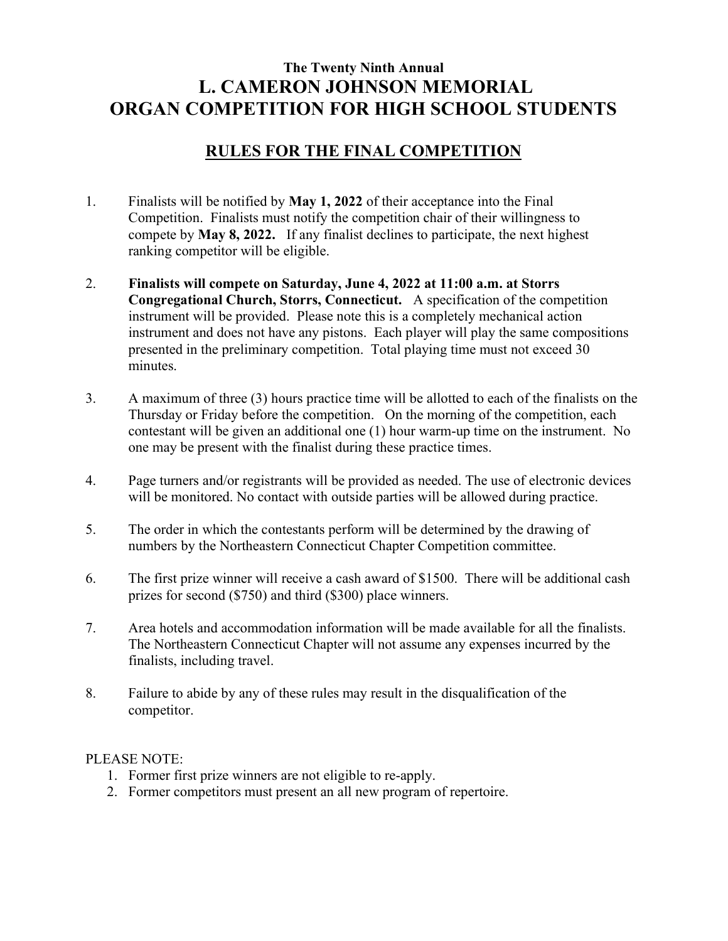# The Twenty Ninth Annual L. CAMERON JOHNSON MEMORIAL ORGAN COMPETITION FOR HIGH SCHOOL STUDENTS

## RULES FOR THE FINAL COMPETITION

- 1. Finalists will be notified by May 1, 2022 of their acceptance into the Final Competition. Finalists must notify the competition chair of their willingness to compete by May 8, 2022. If any finalist declines to participate, the next highest ranking competitor will be eligible.
- 2. Finalists will compete on Saturday, June 4, 2022 at 11:00 a.m. at Storrs Congregational Church, Storrs, Connecticut. A specification of the competition instrument will be provided. Please note this is a completely mechanical action instrument and does not have any pistons. Each player will play the same compositions presented in the preliminary competition. Total playing time must not exceed 30 minutes.
- 3. A maximum of three (3) hours practice time will be allotted to each of the finalists on the Thursday or Friday before the competition. On the morning of the competition, each contestant will be given an additional one (1) hour warm-up time on the instrument. No one may be present with the finalist during these practice times.
- 4. Page turners and/or registrants will be provided as needed. The use of electronic devices will be monitored. No contact with outside parties will be allowed during practice.
- 5. The order in which the contestants perform will be determined by the drawing of numbers by the Northeastern Connecticut Chapter Competition committee.
- 6. The first prize winner will receive a cash award of \$1500. There will be additional cash prizes for second (\$750) and third (\$300) place winners.
- 7. Area hotels and accommodation information will be made available for all the finalists. The Northeastern Connecticut Chapter will not assume any expenses incurred by the finalists, including travel.
- 8. Failure to abide by any of these rules may result in the disqualification of the competitor.

#### PLEASE NOTE:

- 1. Former first prize winners are not eligible to re-apply.
- 2. Former competitors must present an all new program of repertoire.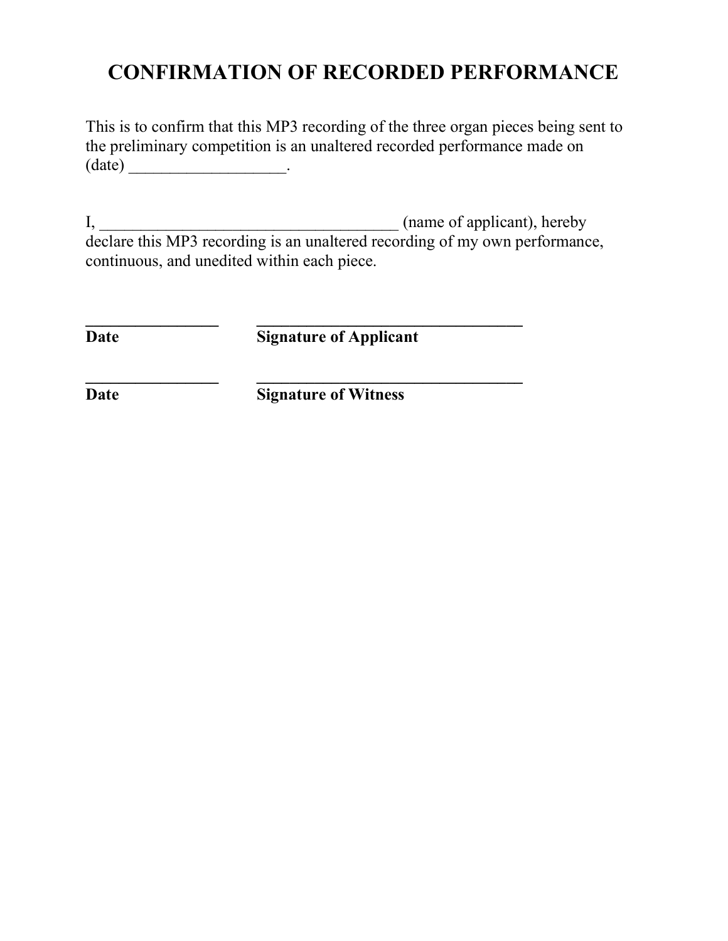# CONFIRMATION OF RECORDED PERFORMANCE

This is to confirm that this MP3 recording of the three organ pieces being sent to the preliminary competition is an unaltered recorded performance made on (date) \_\_\_\_\_\_\_\_\_\_\_\_\_\_\_\_\_\_\_.

I,  $\frac{1}{2}$  (name of applicant), hereby declare this MP3 recording is an unaltered recording of my own performance, continuous, and unedited within each piece.

Date Signature of Applicant

 $\frac{1}{2}$  ,  $\frac{1}{2}$  ,  $\frac{1}{2}$  ,  $\frac{1}{2}$  ,  $\frac{1}{2}$  ,  $\frac{1}{2}$  ,  $\frac{1}{2}$  ,  $\frac{1}{2}$  ,  $\frac{1}{2}$  ,  $\frac{1}{2}$  ,  $\frac{1}{2}$  ,  $\frac{1}{2}$  ,  $\frac{1}{2}$  ,  $\frac{1}{2}$  ,  $\frac{1}{2}$  ,  $\frac{1}{2}$  ,  $\frac{1}{2}$  ,  $\frac{1}{2}$  ,  $\frac{1$ 

 $\frac{1}{2}$  ,  $\frac{1}{2}$  ,  $\frac{1}{2}$  ,  $\frac{1}{2}$  ,  $\frac{1}{2}$  ,  $\frac{1}{2}$  ,  $\frac{1}{2}$  ,  $\frac{1}{2}$  ,  $\frac{1}{2}$  ,  $\frac{1}{2}$  ,  $\frac{1}{2}$  ,  $\frac{1}{2}$  ,  $\frac{1}{2}$  ,  $\frac{1}{2}$  ,  $\frac{1}{2}$  ,  $\frac{1}{2}$  ,  $\frac{1}{2}$  ,  $\frac{1}{2}$  ,  $\frac{1$ 

Date Signature of Witness